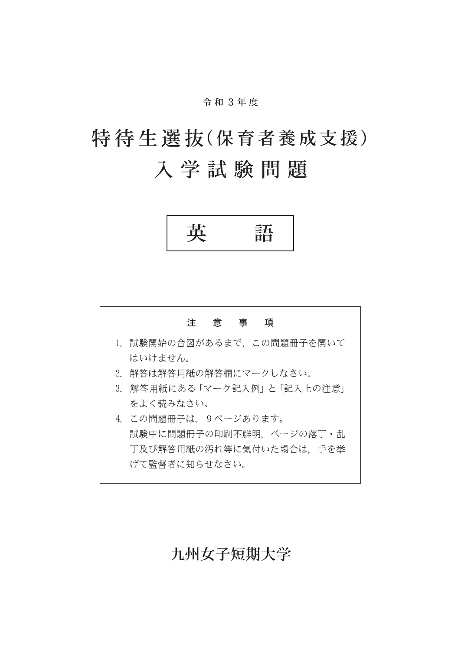令 和 3年 度

# 特待生選抜(保育者養成支援) 入 学 試 験 問 題

英 語



## 九州女子短期大学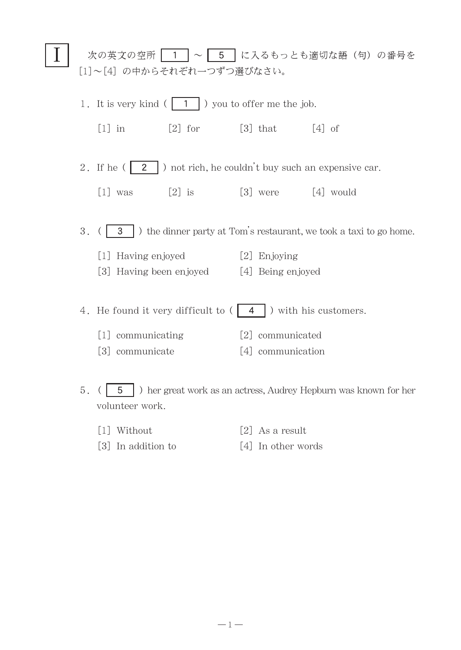| 次の英文の空所   1   ~   5   に入るもっとも適切な語(句)の番号を<br>[1]~[4] の中からそれぞれ一つずつ選びなさい。 |                                                                              |                                           |                   |                                                                  |
|------------------------------------------------------------------------|------------------------------------------------------------------------------|-------------------------------------------|-------------------|------------------------------------------------------------------|
| 1. It is very kind $( 1 1)$ you to offer me the job.                   |                                                                              |                                           |                   |                                                                  |
|                                                                        | $[1]$ in                                                                     | $[2]$ for                                 | $[3]$ that        | $\lceil 4 \rceil$ of                                             |
|                                                                        | 2. If he $(2 \mid 2 \mid)$ not rich, he couldn't buy such an expensive car.  |                                           |                   |                                                                  |
|                                                                        | $\lceil 1 \rceil$ was                                                        | $[2]$ is $[3]$ were $[4]$ would           |                   |                                                                  |
|                                                                        | 3.<br>3 > b the dinner party at Tom's restaurant, we took a taxi to go home. |                                           |                   |                                                                  |
|                                                                        | [1] Having enjoyed                                                           |                                           | [2] Enjoying      |                                                                  |
|                                                                        |                                                                              | [3] Having been enjoyed [4] Being enjoyed |                   |                                                                  |
|                                                                        | 4. He found it very difficult to $( 4 )$ with his customers.                 |                                           |                   |                                                                  |
|                                                                        | [1] communicating                                                            |                                           | [2] communicated  |                                                                  |
|                                                                        | [3] communicate                                                              |                                           | [4] communication |                                                                  |
| 5.                                                                     | 5<br>volunteer work.                                                         |                                           |                   | ) her great work as an actress, Audrey Hepburn was known for her |

- $[1] \hspace{0.2cm} \text{Without} \hspace{1.2cm} [2] \hspace{0.2cm} \text{As a result}$
- [3] In addition to [4] In other words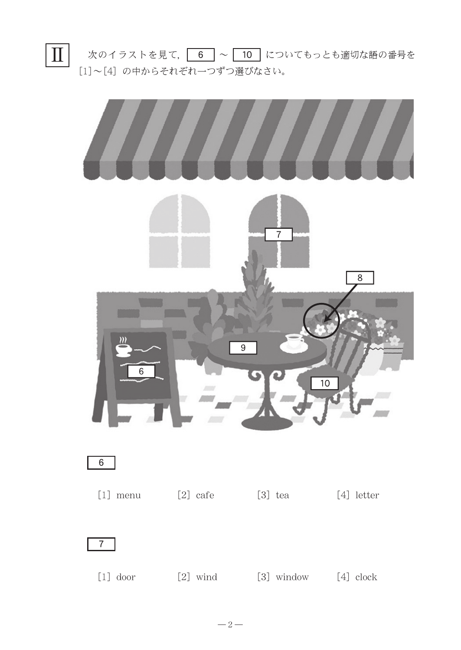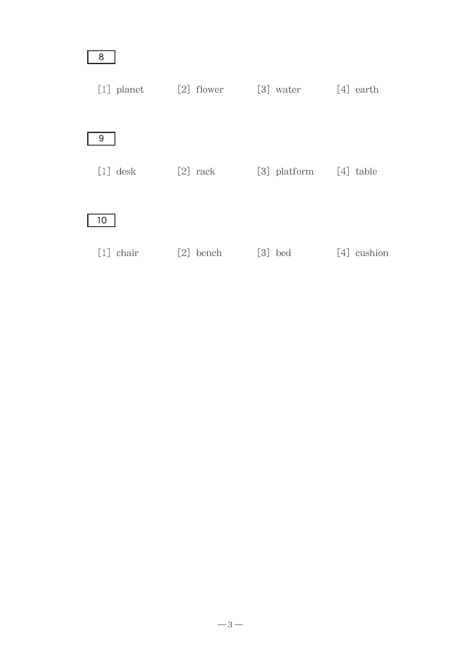| 8              |              |              |                  |
|----------------|--------------|--------------|------------------|
| $[1]$ planet   | $[2]$ flower | [3] water    | $[4]$ earth      |
| 9              |              |              |                  |
| $[1]$ desk     | $[2]$ rack   | [3] platform | $[4]$ table      |
| 10             |              |              |                  |
| $[1]$<br>chair | [2]<br>bench | $[3]$<br>bed | cushion<br>$[4]$ |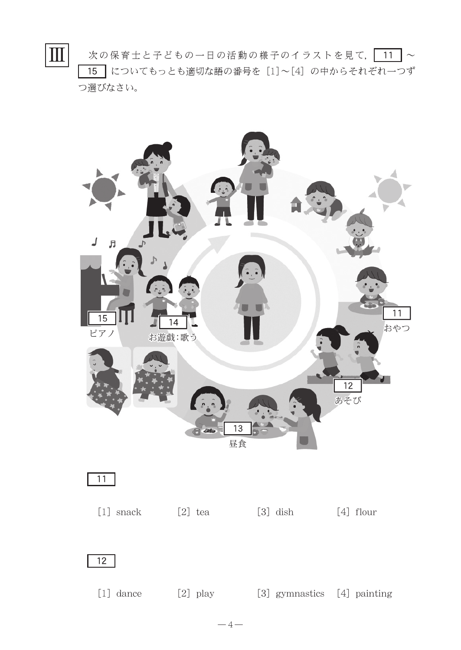次の保育士と子どもの一日の活動の様子のイラストを見て、 ■15 についてもっとも適切な語の番号を [1]~[4] の中からそれぞれ一つず つ選びなさい。 Ⅲ



 $-4-$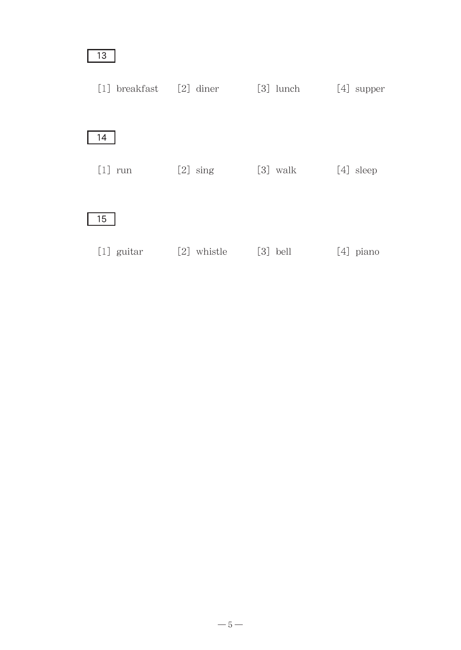| 13                          |             |             |              |
|-----------------------------|-------------|-------------|--------------|
| $[1]$ breakfast $[2]$ diner |             | $[3]$ lunch | $[4]$ supper |
| 14                          |             |             |              |
| $[1]$ run                   | $[2]$ sing  | $[3]$ walk  | $[4]$ sleep  |
| 15                          |             |             |              |
| $[1]$ guitar                | [2] whistle | $[3]$ bell  | $[4]$ piano  |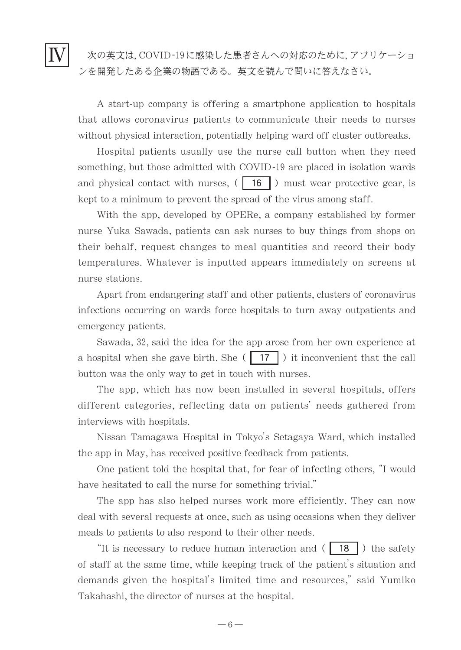Ⅳ

A start-up company is offering a smartphone application to hospitals that allows coronavirus patients to communicate their needs to nurses without physical interaction, potentially helping ward off cluster outbreaks.

Hospital patients usually use the nurse call button when they need something, but those admitted with COVID-19 are placed in isolation wards and physical contact with nurses,  $( 16 )$  must wear protective gear, is kept to a minimum to prevent the spread of the virus among staff.

With the app, developed by OPERe, a company established by former nurse Yuka Sawada, patients can ask nurses to buy things from shops on their behalf, request changes to meal quantities and record their body temperatures. Whatever is inputted appears immediately on screens at nurse stations.

Apart from endangering staff and other patients, clusters of coronavirus infections occurring on wards force hospitals to turn away outpatients and emergency patients.

Sawada, 32, said the idea for the app arose from her own experience at a hospital when she gave birth. She  $(17)$  it inconvenient that the call button was the only way to get in touch with nurses.

The app, which has now been installed in several hospitals, offers different categories, reflecting data on patients' needs gathered from interviews with hospitals.

Nissan Tamagawa Hospital in Tokyo's Setagaya Ward, which installed the app in May, has received positive feedback from patients.

One patient told the hospital that, for fear of infecting others,"I would have hesitated to call the nurse for something trivial."

The app has also helped nurses work more efficiently. They can now deal with several requests at once, such as using occasions when they deliver meals to patients to also respond to their other needs.

"It is necessary to reduce human interaction and  $( 18 1)$  the safety of staff at the same time, while keeping track of the patient's situation and demands given the hospital's limited time and resources," said Yumiko Takahashi, the director of nurses at the hospital.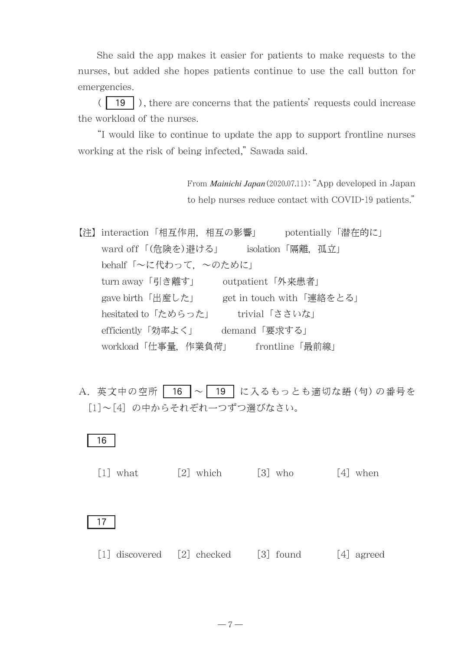She said the app makes it easier for patients to make requests to the nurses, but added she hopes patients continue to use the call button for emergencies.

 $(\boxed{19}$ ), there are concerns that the patients' requests could increase the workload of the nurses.

"I would like to continue to update the app to support frontline nurses working at the risk of being infected," Sawada said.

> From *Mainichi Japan*(2020.07.11):"App developed in Japan to help nurses reduce contact with COVID-19 patients."

【注】interaction「相互作用,相互の影響」 potentially「潜在的に」 ward off「(危険を)避ける」 isolation「隔離,孤立」 behalf「〜に代わって,〜のために」 turn away「引き離す」 outpatient「外来患者」 gave birth「出産した」 get in touch with「連絡をとる」 hesitated to「ためらった」 trivial「ささいな」 efficiently「効率よく」 demand「要求する」 workload「仕事量,作業負荷」 frontline「最前線」

A. 英文中の空所 | 16 |~ | 19 | に入るもっとも適切な語 (句) の番号を [1]~[4] の中からそれぞれ一つずつ選びなさい。

### 16

 $[1]$  what  $[2]$  which  $[3]$  who  $[4]$  when

#### 17

[1] discovered [2] checked [3] found [4] agreed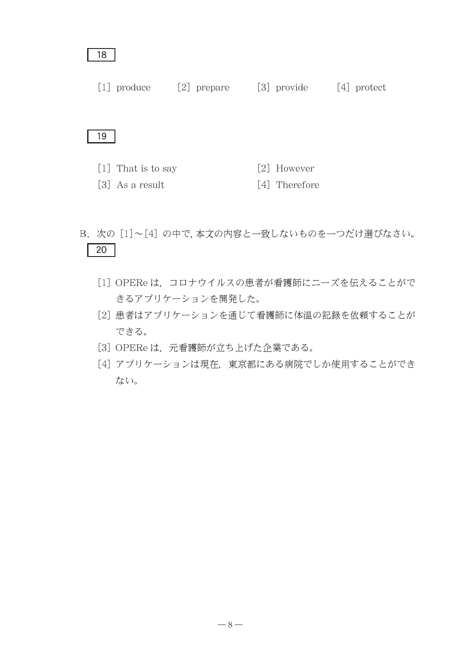#### 18

[1] produce [2] prepare [3] provide [4] protect

#### 19

- [1] That is to say  $[2]$  However
- $\lceil 3 \rceil$  As a result  $\lceil 4 \rceil$  Therefore
- B. 次の [1]~[4] の中で,本文の内容と一致しないものを一つだけ選びなさい。  $\overline{20}$ 
	- [1] OPERe は,コロナウイルスの患者が看護師にニーズを伝えることがで きるアプリケーションを開発した。
	- [2]患者はアプリケーションを通じて看護師に体温の記録を依頼することが できる。
	- [3] OPERe は,元看護師が立ち上げた企業である。
	- [4]アプリケーションは現在,東京都にある病院でしか使用することができ ない。